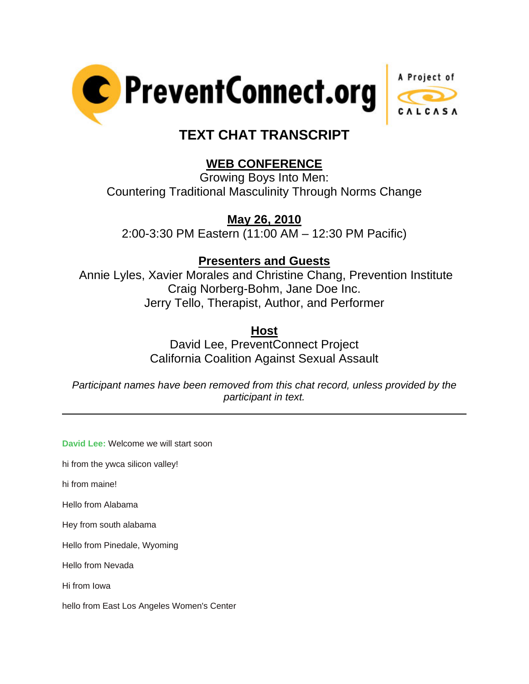



# **TEXT CHAT TRANSCRIPT**

## **WEB CONFERENCE**

Growing Boys Into Men: Countering Traditional Masculinity Through Norms Change

### **May 26, 2010**

2:00-3:30 PM Eastern (11:00 AM – 12:30 PM Pacific)

### **Presenters and Guests**

 Annie Lyles, Xavier Morales and Christine Chang, Prevention Institute Craig Norberg-Bohm, Jane Doe Inc. Jerry Tello, Therapist, Author, and Performer

**Host**

David Lee, PreventConnect Project California Coalition Against Sexual Assault

*Participant names have been removed from this chat record, unless provided by the participant in text.* 

**David Lee:** Welcome we will start soon

hi from the ywca silicon valley!

hi from maine!

 $\overline{a}$ 

Hello from Alabama

Hey from south alabama

Hello from Pinedale, Wyoming

Hello from Nevada

Hi from Iowa

hello from East Los Angeles Women's Center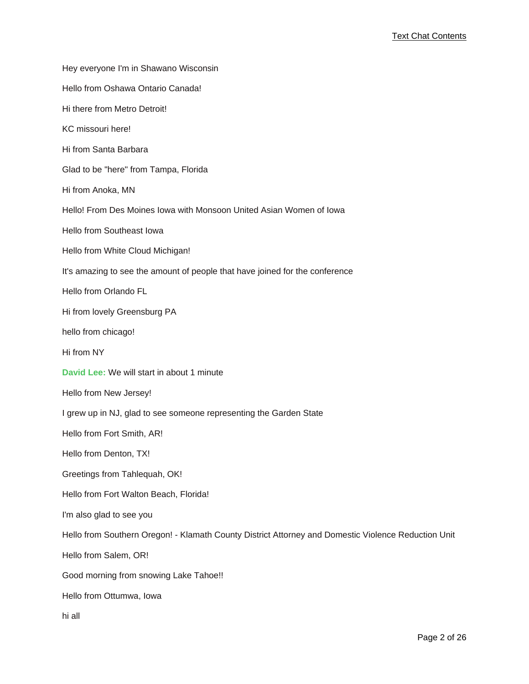Hey everyone I'm in Shawano Wisconsin Hello from Oshawa Ontario Canada! Hi there from Metro Detroit! KC missouri here! Hi from Santa Barbara Glad to be "here" from Tampa, Florida Hi from Anoka, MN Hello! From Des Moines Iowa with Monsoon United Asian Women of Iowa Hello from Southeast Iowa Hello from White Cloud Michigan! It's amazing to see the amount of people that have joined for the conference Hello from Orlando FL Hi from lovely Greensburg PA hello from chicago! Hi from NY **David Lee:** We will start in about 1 minute Hello from New Jersey! I grew up in NJ, glad to see someone representing the Garden State Hello from Fort Smith, AR! Hello from Denton, TX! Greetings from Tahlequah, OK! Hello from Fort Walton Beach, Florida! I'm also glad to see you Hello from Southern Oregon! - Klamath County District Attorney and Domestic Violence Reduction Unit Hello from Salem, OR! Good morning from snowing Lake Tahoe!! Hello from Ottumwa, Iowa hi all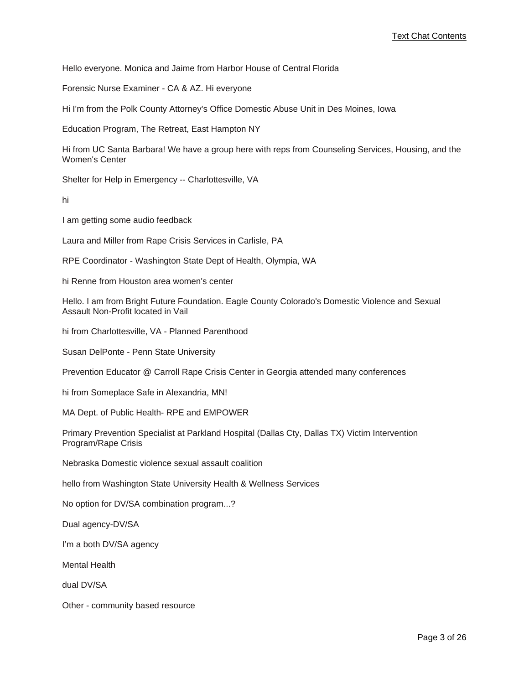Hello everyone. Monica and Jaime from Harbor House of Central Florida

Forensic Nurse Examiner - CA & AZ. Hi everyone

Hi I'm from the Polk County Attorney's Office Domestic Abuse Unit in Des Moines, Iowa

Education Program, The Retreat, East Hampton NY

Hi from UC Santa Barbara! We have a group here with reps from Counseling Services, Housing, and the Women's Center

Shelter for Help in Emergency -- Charlottesville, VA

hi

I am getting some audio feedback

Laura and Miller from Rape Crisis Services in Carlisle, PA

RPE Coordinator - Washington State Dept of Health, Olympia, WA

hi Renne from Houston area women's center

Hello. I am from Bright Future Foundation. Eagle County Colorado's Domestic Violence and Sexual Assault Non-Profit located in Vail

hi from Charlottesville, VA - Planned Parenthood

Susan DelPonte - Penn State University

Prevention Educator @ Carroll Rape Crisis Center in Georgia attended many conferences

hi from Someplace Safe in Alexandria, MN!

MA Dept. of Public Health- RPE and EMPOWER

Primary Prevention Specialist at Parkland Hospital (Dallas Cty, Dallas TX) Victim Intervention Program/Rape Crisis

Nebraska Domestic violence sexual assault coalition

hello from Washington State University Health & Wellness Services

No option for DV/SA combination program...?

Dual agency-DV/SA

I'm a both DV/SA agency

Mental Health

dual DV/SA

Other - community based resource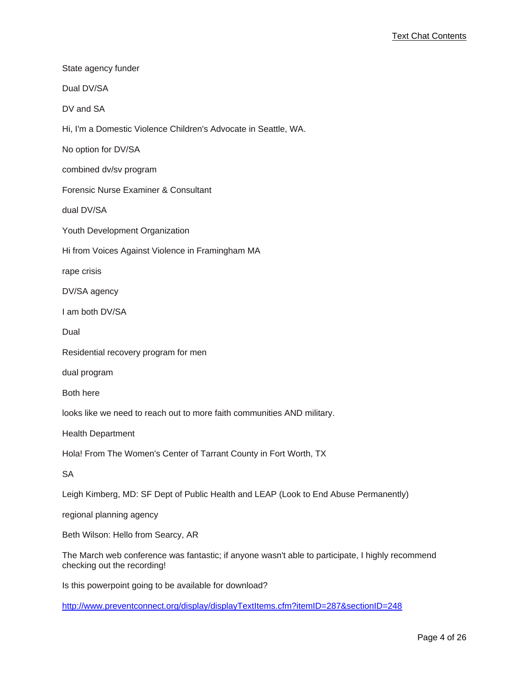| State agency funder                                                                  |
|--------------------------------------------------------------------------------------|
| Dual DV/SA                                                                           |
| DV and SA                                                                            |
| Hi, I'm a Domestic Violence Children's Advocate in Seattle, WA.                      |
| No option for DV/SA                                                                  |
| combined dv/sv program                                                               |
| Forensic Nurse Examiner & Consultant                                                 |
| dual DV/SA                                                                           |
| Youth Development Organization                                                       |
| Hi from Voices Against Violence in Framingham MA                                     |
| rape crisis                                                                          |
| DV/SA agency                                                                         |
| I am both DV/SA                                                                      |
| Dual                                                                                 |
| Residential recovery program for men                                                 |
| dual program                                                                         |
| Both here                                                                            |
| looks like we need to reach out to more faith communities AND military.              |
| <b>Health Department</b>                                                             |
| Hola! From The Women's Center of Tarrant County in Fort Worth, TX                    |
| SA                                                                                   |
| Leigh Kimberg, MD: SF Dept of Public Health and LEAP (Look to End Abuse Permanently) |
| regional planning agency                                                             |
| Beth Wilson: Hello from Searcy, AR                                                   |
|                                                                                      |

The March web conference was fantastic; if anyone wasn't able to participate, I highly recommend checking out the recording!

Is this powerpoint going to be available for download?

[http://www.preventconnect.org/display/displayTextItems.cfm?itemID=287&sectionID=248](http://www.preventconnect.org/display/displayTextItems.cfm?itemID=287§ionID=248)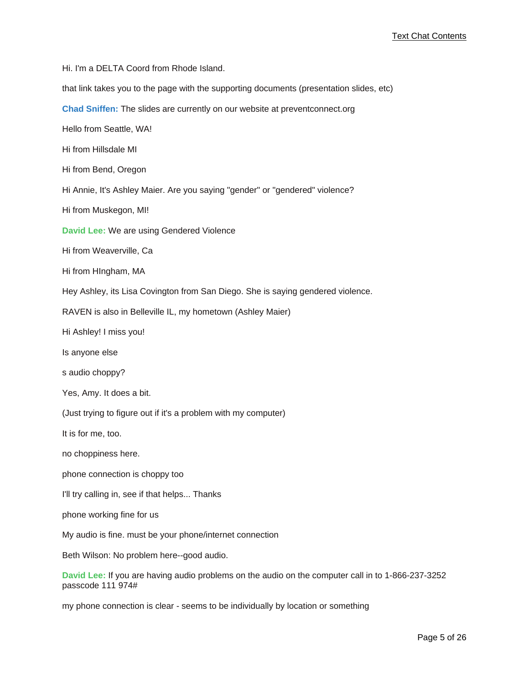Hi. I'm a DELTA Coord from Rhode Island.

that link takes you to the page with the supporting documents (presentation slides, etc)

**Chad Sniffen:** The slides are currently on our website at preventconnect.org

Hello from Seattle, WA!

Hi from Hillsdale MI

Hi from Bend, Oregon

Hi Annie, It's Ashley Maier. Are you saying "gender" or "gendered" violence?

Hi from Muskegon, MI!

**David Lee:** We are using Gendered Violence

Hi from Weaverville, Ca

Hi from HIngham, MA

Hey Ashley, its Lisa Covington from San Diego. She is saying gendered violence.

RAVEN is also in Belleville IL, my hometown (Ashley Maier)

Hi Ashley! I miss you!

Is anyone else

s audio choppy?

Yes, Amy. It does a bit.

(Just trying to figure out if it's a problem with my computer)

It is for me, too.

no choppiness here.

phone connection is choppy too

I'll try calling in, see if that helps... Thanks

phone working fine for us

My audio is fine. must be your phone/internet connection

Beth Wilson: No problem here--good audio.

**David Lee:** If you are having audio problems on the audio on the computer call in to 1-866-237-3252 passcode 111 974#

my phone connection is clear - seems to be individually by location or something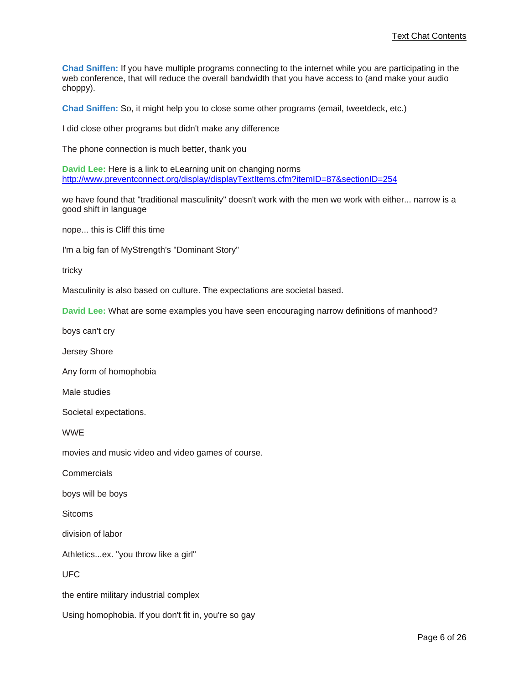**Chad Sniffen:** If you have multiple programs connecting to the internet while you are participating in the web conference, that will reduce the overall bandwidth that you have access to (and make your audio choppy).

**Chad Sniffen:** So, it might help you to close some other programs (email, tweetdeck, etc.)

I did close other programs but didn't make any difference

The phone connection is much better, thank you

**David Lee:** Here is a link to eLearning unit on changing norms [http://www.preventconnect.org/display/displayTextItems.cfm?itemID=87&sectionID=254](http://www.preventconnect.org/display/displayTextItems.cfm?itemID=87§ionID=254)

we have found that "traditional masculinity" doesn't work with the men we work with either... narrow is a good shift in language

nope... this is Cliff this time

I'm a big fan of MyStrength's "Dominant Story"

tricky

Masculinity is also based on culture. The expectations are societal based.

**David Lee:** What are some examples you have seen encouraging narrow definitions of manhood?

boys can't cry

Jersey Shore

Any form of homophobia

Male studies

Societal expectations.

WWE

movies and music video and video games of course.

Commercials

boys will be boys

**Sitcoms** 

division of labor

Athletics...ex. "you throw like a girl"

UFC

the entire military industrial complex

Using homophobia. If you don't fit in, you're so gay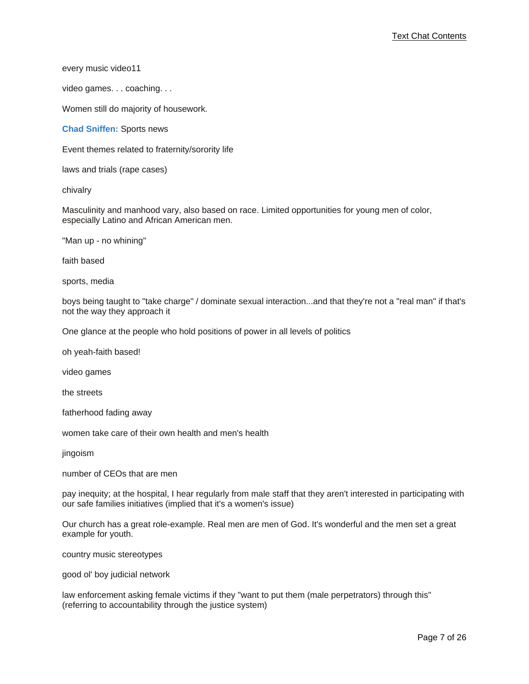every music video11

video games. . . coaching. . .

Women still do majority of housework.

**Chad Sniffen:** Sports news

Event themes related to fraternity/sorority life

laws and trials (rape cases)

chivalry

Masculinity and manhood vary, also based on race. Limited opportunities for young men of color, especially Latino and African American men.

"Man up - no whining"

faith based

sports, media

boys being taught to "take charge" / dominate sexual interaction...and that they're not a "real man" if that's not the way they approach it

One glance at the people who hold positions of power in all levels of politics

oh yeah-faith based!

video games

the streets

fatherhood fading away

women take care of their own health and men's health

jingoism

number of CEOs that are men

pay inequity; at the hospital, I hear regularly from male staff that they aren't interested in participating with our safe families initiatives (implied that it's a women's issue)

Our church has a great role-example. Real men are men of God. It's wonderful and the men set a great example for youth.

country music stereotypes

good ol' boy judicial network

law enforcement asking female victims if they "want to put them (male perpetrators) through this" (referring to accountability through the justice system)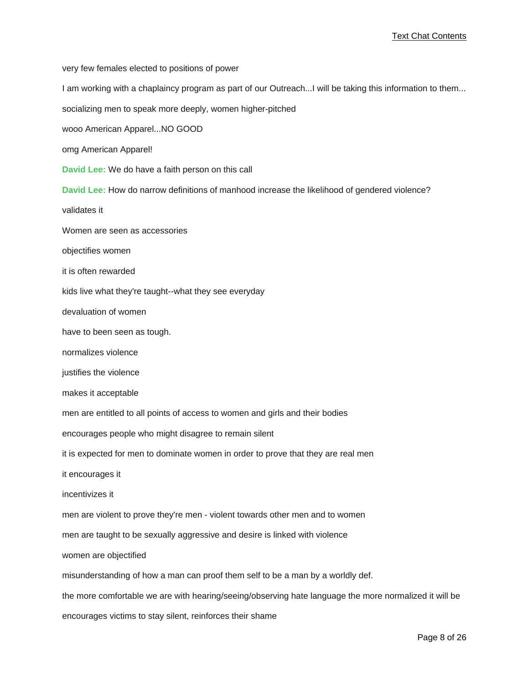very few females elected to positions of power I am working with a chaplaincy program as part of our Outreach...I will be taking this information to them... socializing men to speak more deeply, women higher-pitched wooo American Apparel...NO GOOD omg American Apparel! **David Lee:** We do have a faith person on this call **David Lee:** How do narrow definitions of manhood increase the likelihood of gendered violence? validates it Women are seen as accessories objectifies women it is often rewarded kids live what they're taught--what they see everyday devaluation of women have to been seen as tough. normalizes violence justifies the violence makes it acceptable men are entitled to all points of access to women and girls and their bodies encourages people who might disagree to remain silent it is expected for men to dominate women in order to prove that they are real men it encourages it incentivizes it men are violent to prove they're men - violent towards other men and to women men are taught to be sexually aggressive and desire is linked with violence women are objectified misunderstanding of how a man can proof them self to be a man by a worldly def. the more comfortable we are with hearing/seeing/observing hate language the more normalized it will be encourages victims to stay silent, reinforces their shame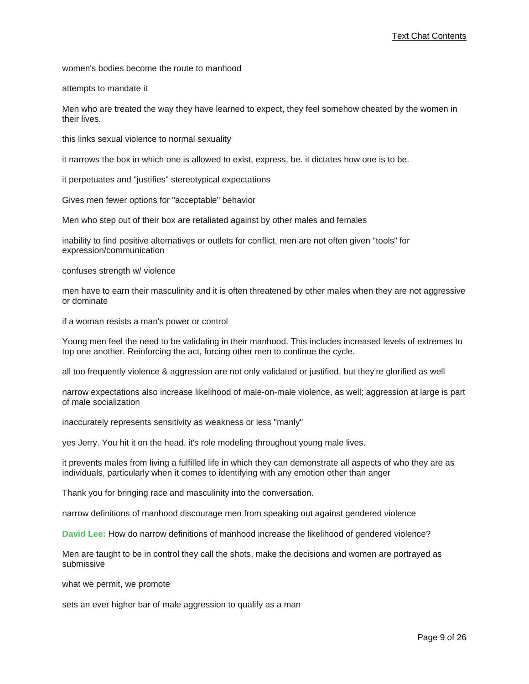women's bodies become the route to manhood

attempts to mandate it

Men who are treated the way they have learned to expect, they feel somehow cheated by the women in their lives.

this links sexual violence to normal sexuality

it narrows the box in which one is allowed to exist, express, be. it dictates how one is to be.

it perpetuates and "justifies" stereotypical expectations

Gives men fewer options for "acceptable" behavior

Men who step out of their box are retaliated against by other males and females

inability to find positive alternatives or outlets for conflict, men are not often given "tools" for expression/communication

confuses strength w/ violence

men have to earn their masculinity and it is often threatened by other males when they are not aggressive or dominate

if a woman resists a man's power or control

Young men feel the need to be validating in their manhood. This includes increased levels of extremes to top one another. Reinforcing the act, forcing other men to continue the cycle.

all too frequently violence & aggression are not only validated or justified, but they're glorified as well

narrow expectations also increase likelihood of male-on-male violence, as well; aggression at large is part of male socialization

inaccurately represents sensitivity as weakness or less "manly"

yes Jerry. You hit it on the head. it's role modeling throughout young male lives.

it prevents males from living a fulfilled life in which they can demonstrate all aspects of who they are as individuals, particularly when it comes to identifying with any emotion other than anger

Thank you for bringing race and masculinity into the conversation.

narrow definitions of manhood discourage men from speaking out against gendered violence

**David Lee:** How do narrow definitions of manhood increase the likelihood of gendered violence?

Men are taught to be in control they call the shots, make the decisions and women are portrayed as submissive

what we permit, we promote

sets an ever higher bar of male aggression to qualify as a man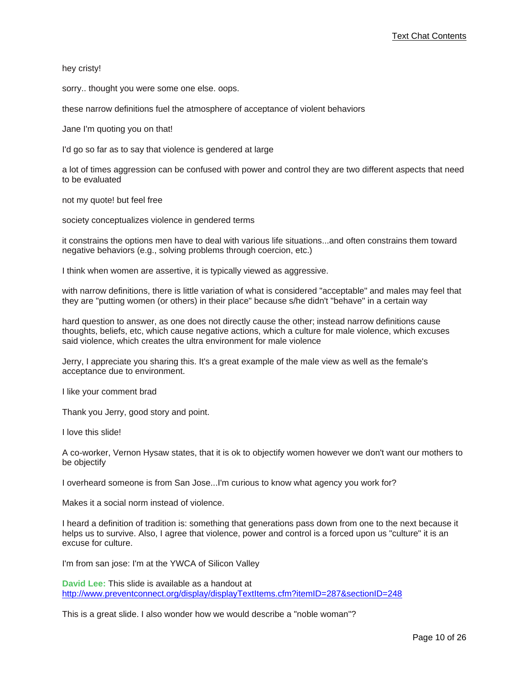hey cristy!

sorry.. thought you were some one else. oops.

these narrow definitions fuel the atmosphere of acceptance of violent behaviors

Jane I'm quoting you on that!

I'd go so far as to say that violence is gendered at large

a lot of times aggression can be confused with power and control they are two different aspects that need to be evaluated

not my quote! but feel free

society conceptualizes violence in gendered terms

it constrains the options men have to deal with various life situations...and often constrains them toward negative behaviors (e.g., solving problems through coercion, etc.)

I think when women are assertive, it is typically viewed as aggressive.

with narrow definitions, there is little variation of what is considered "acceptable" and males may feel that they are "putting women (or others) in their place" because s/he didn't "behave" in a certain way

hard question to answer, as one does not directly cause the other; instead narrow definitions cause thoughts, beliefs, etc, which cause negative actions, which a culture for male violence, which excuses said violence, which creates the ultra environment for male violence

Jerry, I appreciate you sharing this. It's a great example of the male view as well as the female's acceptance due to environment.

I like your comment brad

Thank you Jerry, good story and point.

I love this slide!

A co-worker, Vernon Hysaw states, that it is ok to objectify women however we don't want our mothers to be objectify

I overheard someone is from San Jose...I'm curious to know what agency you work for?

Makes it a social norm instead of violence.

I heard a definition of tradition is: something that generations pass down from one to the next because it helps us to survive. Also, I agree that violence, power and control is a forced upon us "culture" it is an excuse for culture.

I'm from san jose: I'm at the YWCA of Silicon Valley

**David Lee:** This slide is available as a handout at [http://www.preventconnect.org/display/displayTextItems.cfm?itemID=287&sectionID=248](http://www.preventconnect.org/display/displayTextItems.cfm?itemID=287§ionID=248)

This is a great slide. I also wonder how we would describe a "noble woman"?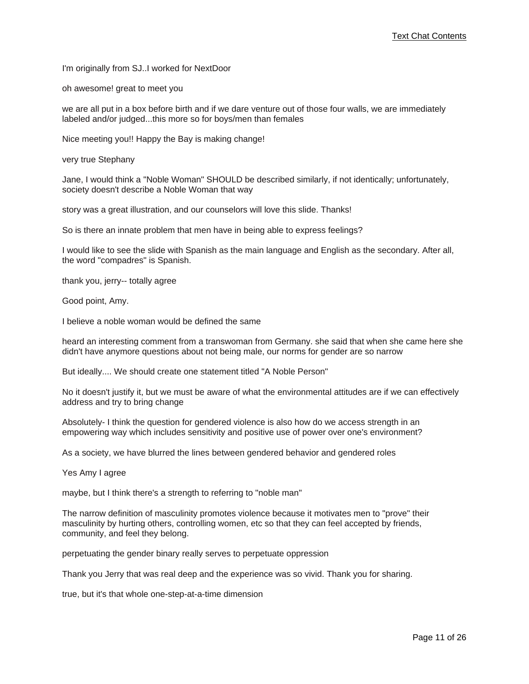I'm originally from SJ..I worked for NextDoor

oh awesome! great to meet you

we are all put in a box before birth and if we dare venture out of those four walls, we are immediately labeled and/or judged...this more so for boys/men than females

Nice meeting you!! Happy the Bay is making change!

very true Stephany

Jane, I would think a "Noble Woman" SHOULD be described similarly, if not identically; unfortunately, society doesn't describe a Noble Woman that way

story was a great illustration, and our counselors will love this slide. Thanks!

So is there an innate problem that men have in being able to express feelings?

I would like to see the slide with Spanish as the main language and English as the secondary. After all, the word "compadres" is Spanish.

thank you, jerry-- totally agree

Good point, Amy.

I believe a noble woman would be defined the same

heard an interesting comment from a transwoman from Germany. she said that when she came here she didn't have anymore questions about not being male, our norms for gender are so narrow

But ideally.... We should create one statement titled "A Noble Person"

No it doesn't justify it, but we must be aware of what the environmental attitudes are if we can effectively address and try to bring change

Absolutely- I think the question for gendered violence is also how do we access strength in an empowering way which includes sensitivity and positive use of power over one's environment?

As a society, we have blurred the lines between gendered behavior and gendered roles

Yes Amy I agree

maybe, but I think there's a strength to referring to "noble man"

The narrow definition of masculinity promotes violence because it motivates men to "prove" their masculinity by hurting others, controlling women, etc so that they can feel accepted by friends, community, and feel they belong.

perpetuating the gender binary really serves to perpetuate oppression

Thank you Jerry that was real deep and the experience was so vivid. Thank you for sharing.

true, but it's that whole one-step-at-a-time dimension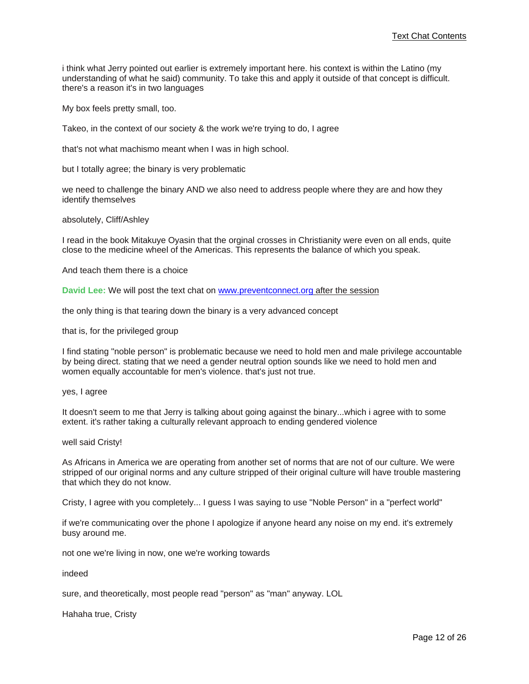i think what Jerry pointed out earlier is extremely important here. his context is within the Latino (my understanding of what he said) community. To take this and apply it outside of that concept is difficult. there's a reason it's in two languages

My box feels pretty small, too.

Takeo, in the context of our society & the work we're trying to do, I agree

that's not what machismo meant when I was in high school.

but I totally agree; the binary is very problematic

we need to challenge the binary AND we also need to address people where they are and how they identify themselves

#### absolutely, Cliff/Ashley

I read in the book Mitakuye Oyasin that the orginal crosses in Christianity were even on all ends, quite close to the medicine wheel of the Americas. This represents the balance of which you speak.

And teach them there is a choice

**David Lee:** We will post the text chat on [www.preventconnect.org after the session](www.preventconnect.org)

the only thing is that tearing down the binary is a very advanced concept

that is, for the privileged group

I find stating "noble person" is problematic because we need to hold men and male privilege accountable by being direct. stating that we need a gender neutral option sounds like we need to hold men and women equally accountable for men's violence. that's just not true.

yes, I agree

It doesn't seem to me that Jerry is talking about going against the binary...which i agree with to some extent. it's rather taking a culturally relevant approach to ending gendered violence

#### well said Cristy!

As Africans in America we are operating from another set of norms that are not of our culture. We were stripped of our original norms and any culture stripped of their original culture will have trouble mastering that which they do not know.

Cristy, I agree with you completely... I guess I was saying to use "Noble Person" in a "perfect world"

if we're communicating over the phone I apologize if anyone heard any noise on my end. it's extremely busy around me.

not one we're living in now, one we're working towards

indeed

sure, and theoretically, most people read "person" as "man" anyway. LOL

Hahaha true, Cristy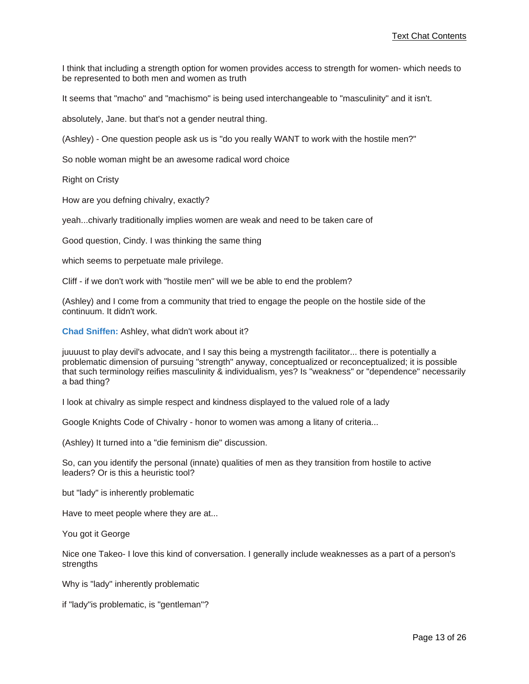I think that including a strength option for women provides access to strength for women- which needs to be represented to both men and women as truth

It seems that "macho" and "machismo" is being used interchangeable to "masculinity" and it isn't.

absolutely, Jane. but that's not a gender neutral thing.

(Ashley) - One question people ask us is "do you really WANT to work with the hostile men?"

So noble woman might be an awesome radical word choice

Right on Cristy

How are you defning chivalry, exactly?

yeah...chivarly traditionally implies women are weak and need to be taken care of

Good question, Cindy. I was thinking the same thing

which seems to perpetuate male privilege.

Cliff - if we don't work with "hostile men" will we be able to end the problem?

(Ashley) and I come from a community that tried to engage the people on the hostile side of the continuum. It didn't work.

**Chad Sniffen:** Ashley, what didn't work about it?

juuuust to play devil's advocate, and I say this being a mystrength facilitator... there is potentially a problematic dimension of pursuing "strength" anyway, conceptualized or reconceptualized; it is possible that such terminology reifies masculinity & individualism, yes? Is "weakness" or "dependence" necessarily a bad thing?

I look at chivalry as simple respect and kindness displayed to the valued role of a lady

Google Knights Code of Chivalry - honor to women was among a litany of criteria...

(Ashley) It turned into a "die feminism die" discussion.

So, can you identify the personal (innate) qualities of men as they transition from hostile to active leaders? Or is this a heuristic tool?

but "lady" is inherently problematic

Have to meet people where they are at...

You got it George

Nice one Takeo- I love this kind of conversation. I generally include weaknesses as a part of a person's strengths

Why is "lady" inherently problematic

if "lady"is problematic, is "gentleman"?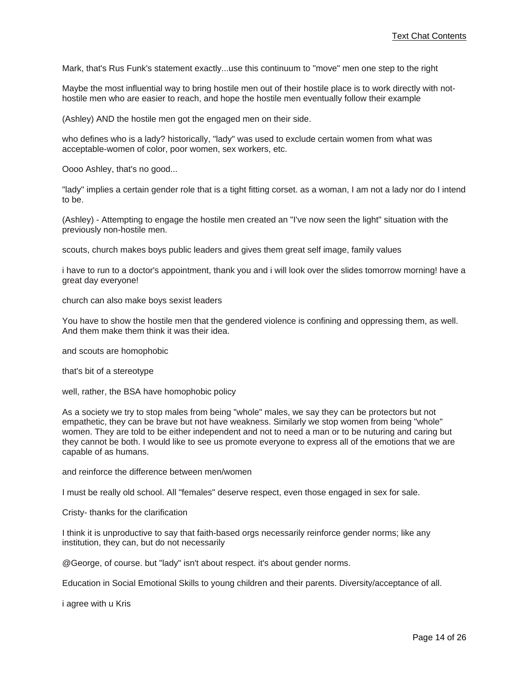Mark, that's Rus Funk's statement exactly...use this continuum to "move" men one step to the right

Maybe the most influential way to bring hostile men out of their hostile place is to work directly with nothostile men who are easier to reach, and hope the hostile men eventually follow their example

(Ashley) AND the hostile men got the engaged men on their side.

who defines who is a lady? historically, "lady" was used to exclude certain women from what was acceptable-women of color, poor women, sex workers, etc.

Oooo Ashley, that's no good...

"lady" implies a certain gender role that is a tight fitting corset. as a woman, I am not a lady nor do I intend to be.

(Ashley) - Attempting to engage the hostile men created an "I've now seen the light" situation with the previously non-hostile men.

scouts, church makes boys public leaders and gives them great self image, family values

i have to run to a doctor's appointment, thank you and i will look over the slides tomorrow morning! have a great day everyone!

church can also make boys sexist leaders

You have to show the hostile men that the gendered violence is confining and oppressing them, as well. And them make them think it was their idea.

and scouts are homophobic

that's bit of a stereotype

well, rather, the BSA have homophobic policy

As a society we try to stop males from being "whole" males, we say they can be protectors but not empathetic, they can be brave but not have weakness. Similarly we stop women from being "whole" women. They are told to be either independent and not to need a man or to be nuturing and caring but they cannot be both. I would like to see us promote everyone to express all of the emotions that we are capable of as humans.

and reinforce the difference between men/women

I must be really old school. All "females" deserve respect, even those engaged in sex for sale.

Cristy- thanks for the clarification

I think it is unproductive to say that faith-based orgs necessarily reinforce gender norms; like any institution, they can, but do not necessarily

@George, of course. but "lady" isn't about respect. it's about gender norms.

Education in Social Emotional Skills to young children and their parents. Diversity/acceptance of all.

i agree with u Kris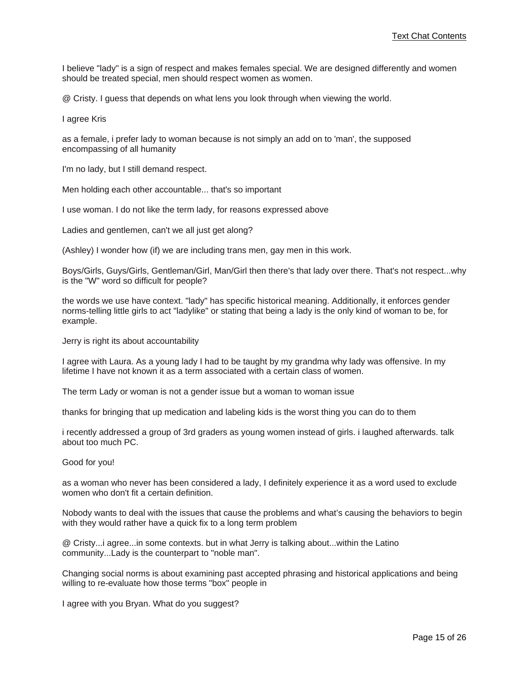I believe "lady" is a sign of respect and makes females special. We are designed differently and women should be treated special, men should respect women as women.

@ Cristy. I guess that depends on what lens you look through when viewing the world.

I agree Kris

as a female, i prefer lady to woman because is not simply an add on to 'man', the supposed encompassing of all humanity

I'm no lady, but I still demand respect.

Men holding each other accountable... that's so important

I use woman. I do not like the term lady, for reasons expressed above

Ladies and gentlemen, can't we all just get along?

(Ashley) I wonder how (if) we are including trans men, gay men in this work.

Boys/Girls, Guys/Girls, Gentleman/Girl, Man/Girl then there's that lady over there. That's not respect...why is the "W" word so difficult for people?

the words we use have context. "lady" has specific historical meaning. Additionally, it enforces gender norms-telling little girls to act "ladylike" or stating that being a lady is the only kind of woman to be, for example.

Jerry is right its about accountability

I agree with Laura. As a young lady I had to be taught by my grandma why lady was offensive. In my lifetime I have not known it as a term associated with a certain class of women.

The term Lady or woman is not a gender issue but a woman to woman issue

thanks for bringing that up medication and labeling kids is the worst thing you can do to them

i recently addressed a group of 3rd graders as young women instead of girls. i laughed afterwards. talk about too much PC.

Good for you!

as a woman who never has been considered a lady, I definitely experience it as a word used to exclude women who don't fit a certain definition.

Nobody wants to deal with the issues that cause the problems and what's causing the behaviors to begin with they would rather have a quick fix to a long term problem

@ Cristy...i agree...in some contexts. but in what Jerry is talking about...within the Latino community...Lady is the counterpart to "noble man".

Changing social norms is about examining past accepted phrasing and historical applications and being willing to re-evaluate how those terms "box" people in

I agree with you Bryan. What do you suggest?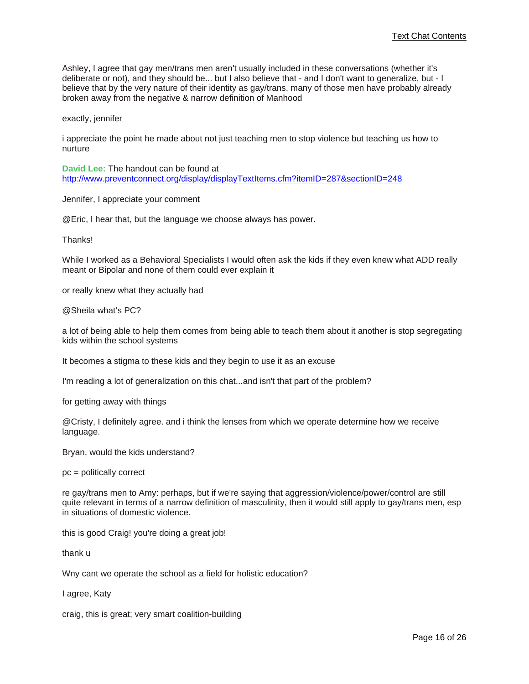Ashley, I agree that gay men/trans men aren't usually included in these conversations (whether it's deliberate or not), and they should be... but I also believe that - and I don't want to generalize, but - I believe that by the very nature of their identity as gay/trans, many of those men have probably already broken away from the negative & narrow definition of Manhood

exactly, jennifer

i appreciate the point he made about not just teaching men to stop violence but teaching us how to nurture

**David Lee:** The handout can be found at [http://www.preventconnect.org/display/displayTextItems.cfm?itemID=287&sectionID=248](http://www.preventconnect.org/display/displayTextItems.cfm?itemID=287§ionID=248)

Jennifer, I appreciate your comment

@Eric, I hear that, but the language we choose always has power.

Thanks!

While I worked as a Behavioral Specialists I would often ask the kids if they even knew what ADD really meant or Bipolar and none of them could ever explain it

or really knew what they actually had

@Sheila what's PC?

a lot of being able to help them comes from being able to teach them about it another is stop segregating kids within the school systems

It becomes a stigma to these kids and they begin to use it as an excuse

I'm reading a lot of generalization on this chat...and isn't that part of the problem?

for getting away with things

@Cristy, I definitely agree. and i think the lenses from which we operate determine how we receive language.

Bryan, would the kids understand?

pc = politically correct

re gay/trans men to Amy: perhaps, but if we're saying that aggression/violence/power/control are still quite relevant in terms of a narrow definition of masculinity, then it would still apply to gay/trans men, esp in situations of domestic violence.

this is good Craig! you're doing a great job!

thank u

Wny cant we operate the school as a field for holistic education?

I agree, Katy

craig, this is great; very smart coalition-building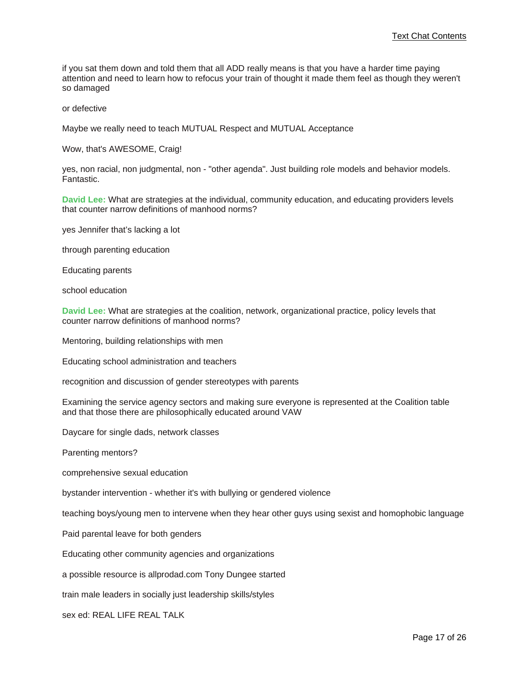if you sat them down and told them that all ADD really means is that you have a harder time paying attention and need to learn how to refocus your train of thought it made them feel as though they weren't so damaged

or defective

Maybe we really need to teach MUTUAL Respect and MUTUAL Acceptance

Wow, that's AWESOME, Craig!

yes, non racial, non judgmental, non - "other agenda". Just building role models and behavior models. Fantastic.

**David Lee:** What are strategies at the individual, community education, and educating providers levels that counter narrow definitions of manhood norms?

yes Jennifer that's lacking a lot

through parenting education

Educating parents

school education

**David Lee:** What are strategies at the coalition, network, organizational practice, policy levels that counter narrow definitions of manhood norms?

Mentoring, building relationships with men

Educating school administration and teachers

recognition and discussion of gender stereotypes with parents

Examining the service agency sectors and making sure everyone is represented at the Coalition table and that those there are philosophically educated around VAW

Daycare for single dads, network classes

Parenting mentors?

comprehensive sexual education

bystander intervention - whether it's with bullying or gendered violence

teaching boys/young men to intervene when they hear other guys using sexist and homophobic language

Paid parental leave for both genders

Educating other community agencies and organizations

a possible resource is allprodad.com Tony Dungee started

train male leaders in socially just leadership skills/styles

sex ed: REAL LIFE REAL TALK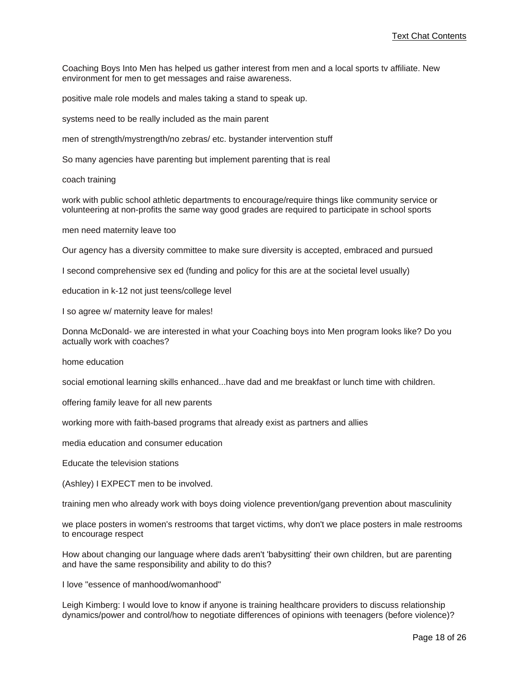Coaching Boys Into Men has helped us gather interest from men and a local sports tv affiliate. New environment for men to get messages and raise awareness.

positive male role models and males taking a stand to speak up.

systems need to be really included as the main parent

men of strength/mystrength/no zebras/ etc. bystander intervention stuff

So many agencies have parenting but implement parenting that is real

coach training

work with public school athletic departments to encourage/require things like community service or volunteering at non-profits the same way good grades are required to participate in school sports

men need maternity leave too

Our agency has a diversity committee to make sure diversity is accepted, embraced and pursued

I second comprehensive sex ed (funding and policy for this are at the societal level usually)

education in k-12 not just teens/college level

I so agree w/ maternity leave for males!

Donna McDonald- we are interested in what your Coaching boys into Men program looks like? Do you actually work with coaches?

home education

social emotional learning skills enhanced...have dad and me breakfast or lunch time with children.

offering family leave for all new parents

working more with faith-based programs that already exist as partners and allies

media education and consumer education

Educate the television stations

(Ashley) I EXPECT men to be involved.

training men who already work with boys doing violence prevention/gang prevention about masculinity

we place posters in women's restrooms that target victims, why don't we place posters in male restrooms to encourage respect

How about changing our language where dads aren't 'babysitting' their own children, but are parenting and have the same responsibility and ability to do this?

I love "essence of manhood/womanhood"

Leigh Kimberg: I would love to know if anyone is training healthcare providers to discuss relationship dynamics/power and control/how to negotiate differences of opinions with teenagers (before violence)?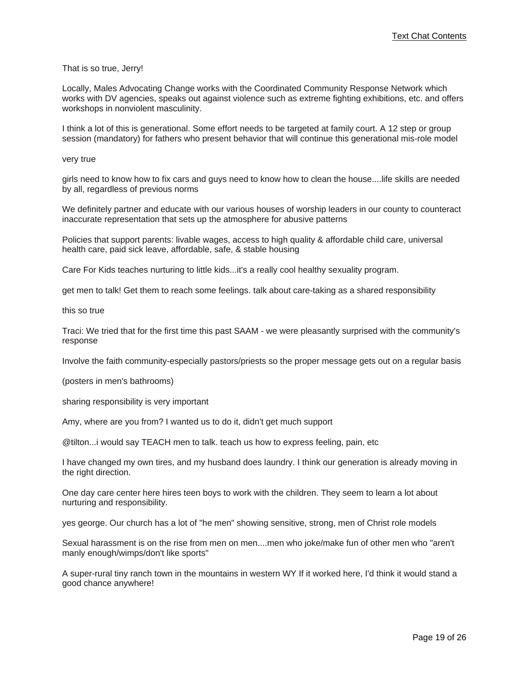That is so true, Jerry!

Locally, Males Advocating Change works with the Coordinated Community Response Network which works with DV agencies, speaks out against violence such as extreme fighting exhibitions, etc. and offers workshops in nonviolent masculinity.

I think a lot of this is generational. Some effort needs to be targeted at family court. A 12 step or group session (mandatory) for fathers who present behavior that will continue this generational mis-role model

very true

girls need to know how to fix cars and guys need to know how to clean the house....life skills are needed by all, regardless of previous norms

We definitely partner and educate with our various houses of worship leaders in our county to counteract inaccurate representation that sets up the atmosphere for abusive patterns

Policies that support parents: livable wages, access to high quality & affordable child care, universal health care, paid sick leave, affordable, safe, & stable housing

Care For Kids teaches nurturing to little kids...it's a really cool healthy sexuality program.

get men to talk! Get them to reach some feelings. talk about care-taking as a shared responsibility

this so true

Traci: We tried that for the first time this past SAAM - we were pleasantly surprised with the community's response

Involve the faith community-especially pastors/priests so the proper message gets out on a regular basis

(posters in men's bathrooms)

sharing responsibility is very important

Amy, where are you from? I wanted us to do it, didn't get much support

@tilton...i would say TEACH men to talk. teach us how to express feeling, pain, etc

I have changed my own tires, and my husband does laundry. I think our generation is already moving in the right direction.

One day care center here hires teen boys to work with the children. They seem to learn a lot about nurturing and responsibility.

yes george. Our church has a lot of "he men" showing sensitive, strong, men of Christ role models

Sexual harassment is on the rise from men on men....men who joke/make fun of other men who "aren't manly enough/wimps/don't like sports"

A super-rural tiny ranch town in the mountains in western WY If it worked here, I'd think it would stand a good chance anywhere!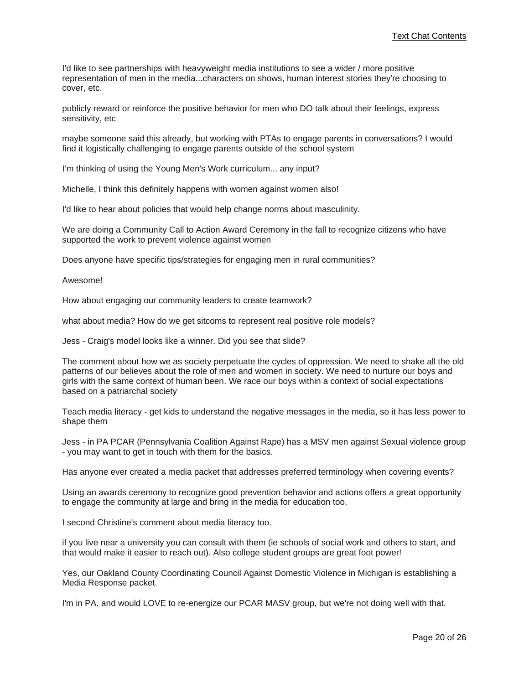I'd like to see partnerships with heavyweight media institutions to see a wider / more positive representation of men in the media...characters on shows, human interest stories they're choosing to cover, etc.

publicly reward or reinforce the positive behavior for men who DO talk about their feelings, express sensitivity, etc

maybe someone said this already, but working with PTAs to engage parents in conversations? I would find it logistically challenging to engage parents outside of the school system

I'm thinking of using the Young Men's Work curriculum... any input?

Michelle, I think this definitely happens with women against women also!

I'd like to hear about policies that would help change norms about masculinity.

We are doing a Community Call to Action Award Ceremony in the fall to recognize citizens who have supported the work to prevent violence against women

Does anyone have specific tips/strategies for engaging men in rural communities?

Awesome!

How about engaging our community leaders to create teamwork?

what about media? How do we get sitcoms to represent real positive role models?

Jess - Craig's model looks like a winner. Did you see that slide?

The comment about how we as society perpetuate the cycles of oppression. We need to shake all the old patterns of our believes about the role of men and women in society. We need to nurture our boys and girls with the same context of human been. We race our boys within a context of social expectations based on a patriarchal society

Teach media literacy - get kids to understand the negative messages in the media, so it has less power to shape them

Jess - in PA PCAR (Pennsylvania Coalition Against Rape) has a MSV men against Sexual violence group - you may want to get in touch with them for the basics.

Has anyone ever created a media packet that addresses preferred terminology when covering events?

Using an awards ceremony to recognize good prevention behavior and actions offers a great opportunity to engage the community at large and bring in the media for education too.

I second Christine's comment about media literacy too.

if you live near a university you can consult with them (ie schools of social work and others to start, and that would make it easier to reach out). Also college student groups are great foot power!

Yes, our Oakland County Coordinating Council Against Domestic Violence in Michigan is establishing a Media Response packet.

I'm in PA, and would LOVE to re-energize our PCAR MASV group, but we're not doing well with that.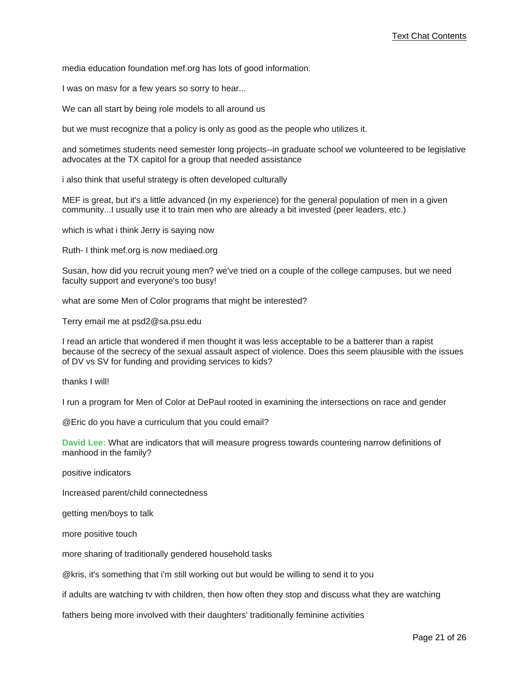media education foundation mef.org has lots of good information.

I was on masv for a few years so sorry to hear...

We can all start by being role models to all around us

but we must recognize that a policy is only as good as the people who utilizes it.

and sometimes students need semester long projects--in graduate school we volunteered to be legislative advocates at the TX capitol for a group that needed assistance

i also think that useful strategy is often developed culturally

MEF is great, but it's a little advanced (in my experience) for the general population of men in a given community...I usually use it to train men who are already a bit invested (peer leaders, etc.)

which is what i think Jerry is saying now

Ruth- I think mef.org is now mediaed.org

Susan, how did you recruit young men? we've tried on a couple of the college campuses, but we need faculty support and everyone's too busy!

what are some Men of Color programs that might be interested?

Terry email me at psd2@sa.psu.edu

I read an article that wondered if men thought it was less acceptable to be a batterer than a rapist because of the secrecy of the sexual assault aspect of violence. Does this seem plausible with the issues of DV vs SV for funding and providing services to kids?

thanks I will!

I run a program for Men of Color at DePaul rooted in examining the intersections on race and gender

@Eric do you have a curriculum that you could email?

**David Lee:** What are indicators that will measure progress towards countering narrow definitions of manhood in the family?

positive indicators

Increased parent/child connectedness

getting men/boys to talk

more positive touch

more sharing of traditionally gendered household tasks

@kris, it's something that i'm still working out but would be willing to send it to you

if adults are watching tv with children, then how often they stop and discuss what they are watching

fathers being more involved with their daughters' traditionally feminine activities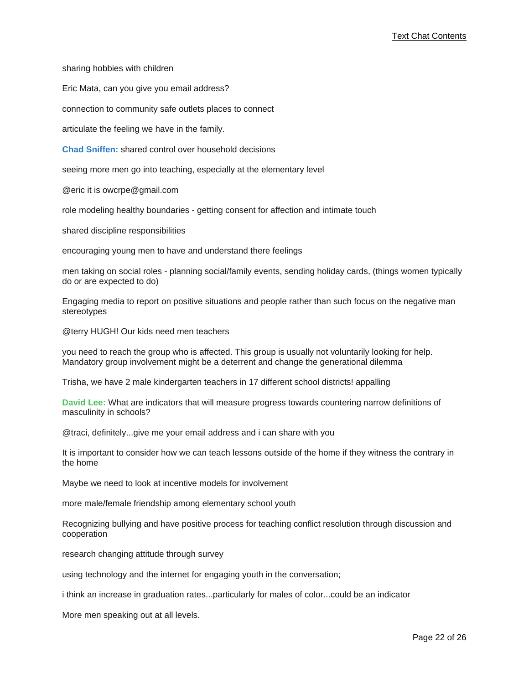sharing hobbies with children

Eric Mata, can you give you email address?

connection to community safe outlets places to connect

articulate the feeling we have in the family.

**Chad Sniffen:** shared control over household decisions

seeing more men go into teaching, especially at the elementary level

@eric it is owcrpe@gmail.com

role modeling healthy boundaries - getting consent for affection and intimate touch

shared discipline responsibilities

encouraging young men to have and understand there feelings

men taking on social roles - planning social/family events, sending holiday cards, (things women typically do or are expected to do)

Engaging media to report on positive situations and people rather than such focus on the negative man stereotypes

@terry HUGH! Our kids need men teachers

you need to reach the group who is affected. This group is usually not voluntarily looking for help. Mandatory group involvement might be a deterrent and change the generational dilemma

Trisha, we have 2 male kindergarten teachers in 17 different school districts! appalling

**David Lee:** What are indicators that will measure progress towards countering narrow definitions of masculinity in schools?

@traci, definitely...give me your email address and i can share with you

It is important to consider how we can teach lessons outside of the home if they witness the contrary in the home

Maybe we need to look at incentive models for involvement

more male/female friendship among elementary school youth

Recognizing bullying and have positive process for teaching conflict resolution through discussion and cooperation

research changing attitude through survey

using technology and the internet for engaging youth in the conversation;

i think an increase in graduation rates...particularly for males of color...could be an indicator

More men speaking out at all levels.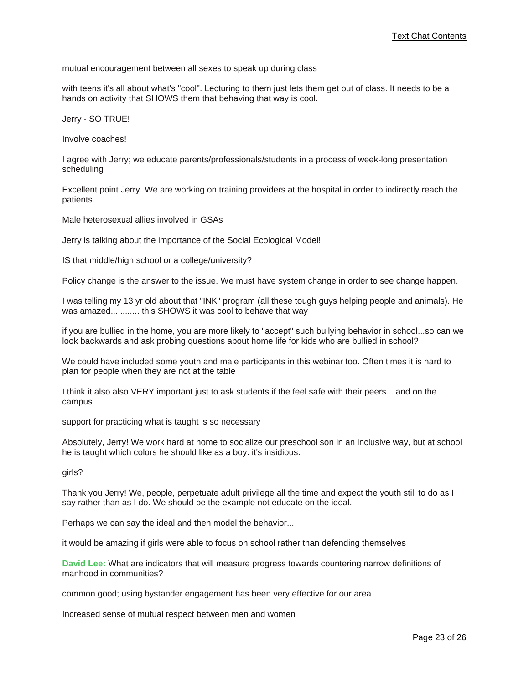mutual encouragement between all sexes to speak up during class

with teens it's all about what's "cool". Lecturing to them just lets them get out of class. It needs to be a hands on activity that SHOWS them that behaving that way is cool.

Jerry - SO TRUE!

Involve coaches!

I agree with Jerry; we educate parents/professionals/students in a process of week-long presentation scheduling

Excellent point Jerry. We are working on training providers at the hospital in order to indirectly reach the patients.

Male heterosexual allies involved in GSAs

Jerry is talking about the importance of the Social Ecological Model!

IS that middle/high school or a college/university?

Policy change is the answer to the issue. We must have system change in order to see change happen.

I was telling my 13 yr old about that "INK" program (all these tough guys helping people and animals). He was amazed............ this SHOWS it was cool to behave that way

if you are bullied in the home, you are more likely to "accept" such bullying behavior in school...so can we look backwards and ask probing questions about home life for kids who are bullied in school?

We could have included some youth and male participants in this webinar too. Often times it is hard to plan for people when they are not at the table

I think it also also VERY important just to ask students if the feel safe with their peers... and on the campus

support for practicing what is taught is so necessary

Absolutely, Jerry! We work hard at home to socialize our preschool son in an inclusive way, but at school he is taught which colors he should like as a boy. it's insidious.

girls?

Thank you Jerry! We, people, perpetuate adult privilege all the time and expect the youth still to do as I say rather than as I do. We should be the example not educate on the ideal.

Perhaps we can say the ideal and then model the behavior...

it would be amazing if girls were able to focus on school rather than defending themselves

**David Lee:** What are indicators that will measure progress towards countering narrow definitions of manhood in communities?

common good; using bystander engagement has been very effective for our area

Increased sense of mutual respect between men and women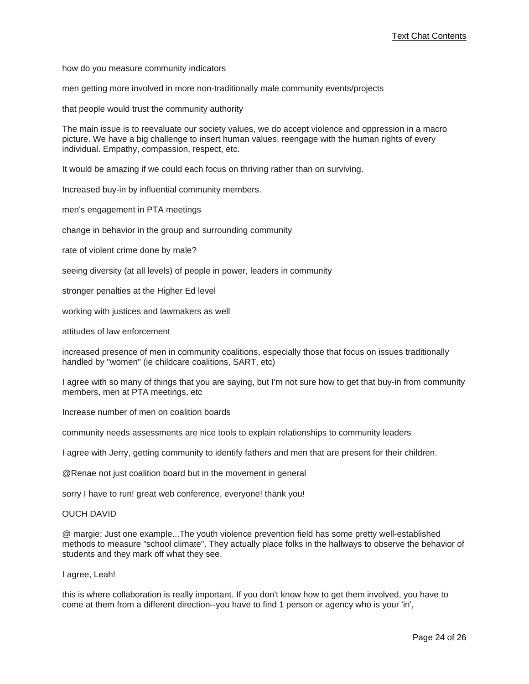how do you measure community indicators

men getting more involved in more non-traditionally male community events/projects

that people would trust the community authority

The main issue is to reevaluate our society values, we do accept violence and oppression in a macro picture. We have a big challenge to insert human values, reengage with the human rights of every individual. Empathy, compassion, respect, etc.

It would be amazing if we could each focus on thriving rather than on surviving.

Increased buy-in by influential community members.

men's engagement in PTA meetings

change in behavior in the group and surrounding community

rate of violent crime done by male?

seeing diversity (at all levels) of people in power, leaders in community

stronger penalties at the Higher Ed level

working with justices and lawmakers as well

attitudes of law enforcement

increased presence of men in community coalitions, especially those that focus on issues traditionally handled by "women" (ie childcare coalitions, SART, etc)

I agree with so many of things that you are saying, but I'm not sure how to get that buy-in from community members, men at PTA meetings, etc

Increase number of men on coalition boards

community needs assessments are nice tools to explain relationships to community leaders

I agree with Jerry, getting community to identify fathers and men that are present for their children.

@Renae not just coalition board but in the movement in general

sorry I have to run! great web conference, everyone! thank you!

### OUCH DAVID

@ margie: Just one example...The youth violence prevention field has some pretty well-established methods to measure "school climate". They actually place folks in the hallways to observe the behavior of students and they mark off what they see.

#### I agree, Leah!

this is where collaboration is really important. If you don't know how to get them involved, you have to come at them from a different direction--you have to find 1 person or agency who is your 'in',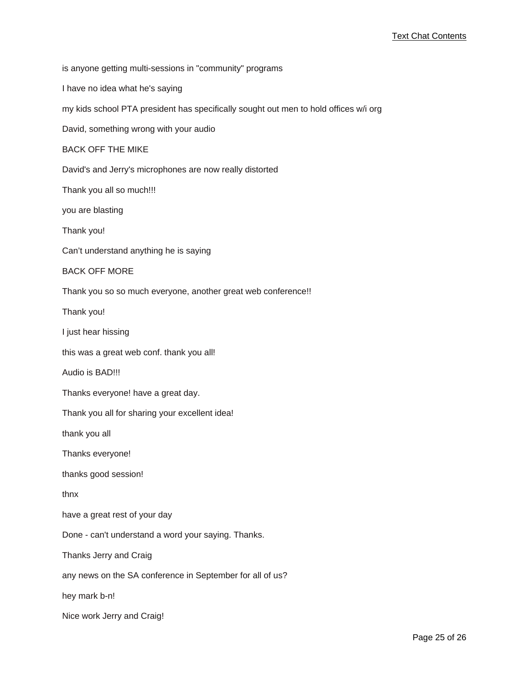is anyone getting multi-sessions in "community" programs I have no idea what he's saying my kids school PTA president has specifically sought out men to hold offices w/i org David, something wrong with your audio BACK OFF THE MIKE David's and Jerry's microphones are now really distorted Thank you all so much!!! you are blasting Thank you! Can't understand anything he is saying BACK OFF MORE Thank you so so much everyone, another great web conference!! Thank you! I just hear hissing this was a great web conf. thank you all! Audio is BAD!!! Thanks everyone! have a great day. Thank you all for sharing your excellent idea! thank you all Thanks everyone! thanks good session! thnx have a great rest of your day Done - can't understand a word your saying. Thanks. Thanks Jerry and Craig any news on the SA conference in September for all of us? hey mark b-n! Nice work Jerry and Craig!